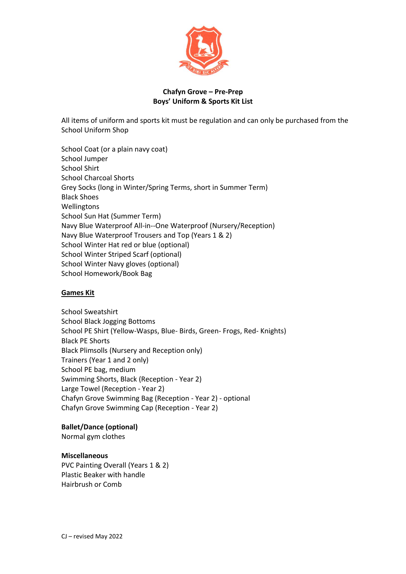

# **Chafyn Grove – Pre-Prep Boys' Uniform & Sports Kit List**

All items of uniform and sports kit must be regulation and can only be purchased from the School Uniform Shop

School Coat (or a plain navy coat) School Jumper School Shirt School Charcoal Shorts Grey Socks (long in Winter/Spring Terms, short in Summer Term) Black Shoes **Wellingtons** School Sun Hat (Summer Term) Navy Blue Waterproof All-in--One Waterproof (Nursery/Reception) Navy Blue Waterproof Trousers and Top (Years 1 & 2) School Winter Hat red or blue (optional) School Winter Striped Scarf (optional) School Winter Navy gloves (optional) School Homework/Book Bag

## **Games Kit**

School Sweatshirt School Black Jogging Bottoms School PE Shirt (Yellow-Wasps, Blue- Birds, Green- Frogs, Red- Knights) Black PE Shorts Black Plimsolls (Nursery and Reception only) Trainers (Year 1 and 2 only) School PE bag, medium Swimming Shorts, Black (Reception - Year 2) Large Towel (Reception - Year 2) Chafyn Grove Swimming Bag (Reception - Year 2) - optional Chafyn Grove Swimming Cap (Reception - Year 2)

## **Ballet/Dance (optional)**

Normal gym clothes

## **Miscellaneous**

PVC Painting Overall (Years 1 & 2) Plastic Beaker with handle Hairbrush or Comb